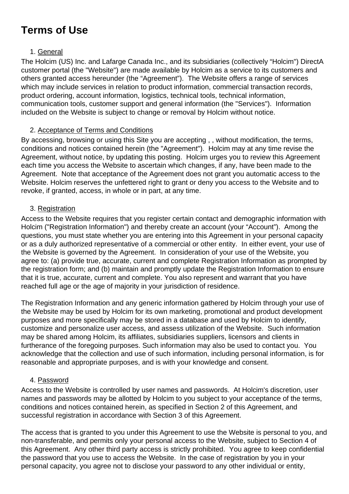# **Terms of Use**

## 1. General

The Holcim (US) Inc. and Lafarge Canada Inc., and its subsidiaries (collectively "Holcim") DirectA customer portal (the "Website") are made available by Holcim as a service to its customers and others granted access hereunder (the "Agreement"). The Website offers a range of services which may include services in relation to product information, commercial transaction records, product ordering, account information, logistics, technical tools, technical information, communication tools, customer support and general information (the "Services"). Information included on the Website is subject to change or removal by Holcim without notice.

# 2. Acceptance of Terms and Conditions

By accessing, browsing or using this Site you are accepting , , without modification, the terms, conditions and notices contained herein (the "Agreement"). Holcim may at any time revise the Agreement, without notice, by updating this posting. Holcim urges you to review this Agreement each time you access the Website to ascertain which changes, if any, have been made to the Agreement. Note that acceptance of the Agreement does not grant you automatic access to the Website. Holcim reserves the unfettered right to grant or deny you access to the Website and to revoke, if granted, access, in whole or in part, at any time.

### 3. Registration

Access to the Website requires that you register certain contact and demographic information with Holcim ("Registration Information") and thereby create an account (your "Account"). Among the questions, you must state whether you are entering into this Agreement in your personal capacity or as a duly authorized representative of a commercial or other entity. In either event, your use of the Website is governed by the Agreement. In consideration of your use of the Website, you agree to: (a) provide true, accurate, current and complete Registration Information as prompted by the registration form; and (b) maintain and promptly update the Registration Information to ensure that it is true, accurate, current and complete. You also represent and warrant that you have reached full age or the age of majority in your jurisdiction of residence.

The Registration Information and any generic information gathered by Holcim through your use of the Website may be used by Holcim for its own marketing, promotional and product development purposes and more specifically may be stored in a database and used by Holcim to identify, customize and personalize user access, and assess utilization of the Website. Such information may be shared among Holcim, its affiliates, subsidiaries suppliers, licensors and clients in furtherance of the foregoing purposes. Such information may also be used to contact you. You acknowledge that the collection and use of such information, including personal information, is for reasonable and appropriate purposes, and is with your knowledge and consent.

### 4. Password

Access to the Website is controlled by user names and passwords. At Holcim's discretion, user names and passwords may be allotted by Holcim to you subject to your acceptance of the terms, conditions and notices contained herein, as specified in Section 2 of this Agreement, and successful registration in accordance with Section 3 of this Agreement.

The access that is granted to you under this Agreement to use the Website is personal to you, and non-transferable, and permits only your personal access to the Website, subject to Section 4 of this Agreement. Any other third party access is strictly prohibited. You agree to keep confidential the password that you use to access the Website. In the case of registration by you in your personal capacity, you agree not to disclose your password to any other individual or entity,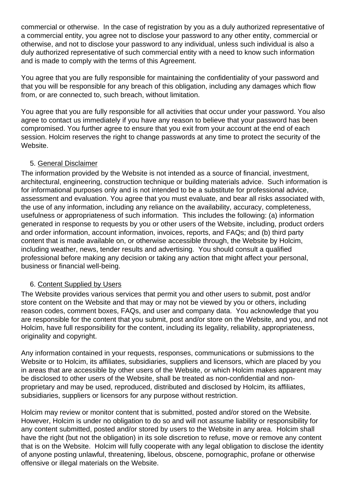commercial or otherwise. In the case of registration by you as a duly authorized representative of a commercial entity, you agree not to disclose your password to any other entity, commercial or otherwise, and not to disclose your password to any individual, unless such individual is also a duly authorized representative of such commercial entity with a need to know such information and is made to comply with the terms of this Agreement.

You agree that you are fully responsible for maintaining the confidentiality of your password and that you will be responsible for any breach of this obligation, including any damages which flow from, or are connected to, such breach, without limitation.

You agree that you are fully responsible for all activities that occur under your password. You also agree to contact us immediately if you have any reason to believe that your password has been compromised. You further agree to ensure that you exit from your account at the end of each session. Holcim reserves the right to change passwords at any time to protect the security of the Website.

#### 5. General Disclaimer

The information provided by the Website is not intended as a source of financial, investment, architectural, engineering, construction technique or building materials advice. Such information is for informational purposes only and is not intended to be a substitute for professional advice, assessment and evaluation. You agree that you must evaluate, and bear all risks associated with, the use of any information, including any reliance on the availability, accuracy, completeness, usefulness or appropriateness of such information. This includes the following: (a) information generated in response to requests by you or other users of the Website, including, product orders and order information, account information, invoices, reports, and FAQs; and (b) third party content that is made available on, or otherwise accessible through, the Website by Holcim, including weather, news, tender results and advertising. You should consult a qualified professional before making any decision or taking any action that might affect your personal, business or financial well-being.

#### 6. Content Supplied by Users

The Website provides various services that permit you and other users to submit, post and/or store content on the Website and that may or may not be viewed by you or others, including reason codes, comment boxes, FAQs, and user and company data. You acknowledge that you are responsible for the content that you submit, post and/or store on the Website, and you, and not Holcim, have full responsibility for the content, including its legality, reliability, appropriateness, originality and copyright.

Any information contained in your requests, responses, communications or submissions to the Website or to Holcim, its affiliates, subsidiaries, suppliers and licensors, which are placed by you in areas that are accessible by other users of the Website, or which Holcim makes apparent may be disclosed to other users of the Website, shall be treated as non-confidential and nonproprietary and may be used, reproduced, distributed and disclosed by Holcim, its affiliates, subsidiaries, suppliers or licensors for any purpose without restriction.

Holcim may review or monitor content that is submitted, posted and/or stored on the Website. However, Holcim is under no obligation to do so and will not assume liability or responsibility for any content submitted, posted and/or stored by users to the Website in any area. Holcim shall have the right (but not the obligation) in its sole discretion to refuse, move or remove any content that is on the Website. Holcim will fully cooperate with any legal obligation to disclose the identity of anyone posting unlawful, threatening, libelous, obscene, pornographic, profane or otherwise offensive or illegal materials on the Website.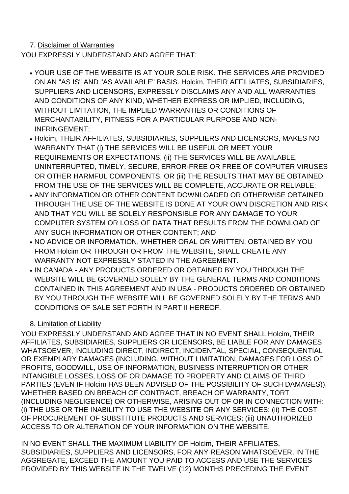# 7. Disclaimer of Warranties

YOU EXPRESSLY UNDERSTAND AND AGREE THAT:

- YOUR USE OF THE WEBSITE IS AT YOUR SOLE RISK. THE SERVICES ARE PROVIDED ON AN "AS IS" AND "AS AVAILABLE" BASIS. Holcim, THEIR AFFILIATES, SUBSIDIARIES, SUPPLIERS AND LICENSORS, EXPRESSLY DISCLAIMS ANY AND ALL WARRANTIES AND CONDITIONS OF ANY KIND, WHETHER EXPRESS OR IMPLIED, INCLUDING, WITHOUT LIMITATION, THE IMPLIED WARRANTIES OR CONDITIONS OF MERCHANTABILITY, FITNESS FOR A PARTICULAR PURPOSE AND NON-INFRINGEMENT;
- Holcim, THEIR AFFILIATES, SUBSIDIARIES, SUPPLIERS AND LICENSORS, MAKES NO WARRANTY THAT (i) THE SERVICES WILL BE USEFUL OR MEET YOUR REQUIREMENTS OR EXPECTATIONS, (ii) THE SERVICES WILL BE AVAILABLE, UNINTERRUPTED, TIMELY, SECURE, ERROR-FREE OR FREE OF COMPUTER VIRUSES OR OTHER HARMFUL COMPONENTS, OR (iii) THE RESULTS THAT MAY BE OBTAINED FROM THE USE OF THE SERVICES WILL BE COMPLETE, ACCURATE OR RELIABLE;
- ANY INFORMATION OR OTHER CONTENT DOWNLOADED OR OTHERWISE OBTAINED THROUGH THE USE OF THE WEBSITE IS DONE AT YOUR OWN DISCRETION AND RISK AND THAT YOU WILL BE SOLELY RESPONSIBLE FOR ANY DAMAGE TO YOUR COMPUTER SYSTEM OR LOSS OF DATA THAT RESULTS FROM THE DOWNLOAD OF ANY SUCH INFORMATION OR OTHER CONTENT; AND
- NO ADVICE OR INFORMATION, WHETHER ORAL OR WRITTEN, OBTAINED BY YOU FROM Holcim OR THROUGH OR FROM THE WEBSITE, SHALL CREATE ANY WARRANTY NOT EXPRESSLY STATED IN THE AGREEMENT.
- IN CANADA ANY PRODUCTS ORDERED OR OBTAINED BY YOU THROUGH THE WEBSITE WILL BE GOVERNED SOLELY BY THE GENERAL TERMS AND CONDITIONS CONTAINED IN THIS AGREEMENT AND IN USA - PRODUCTS ORDERED OR OBTAINED BY YOU THROUGH THE WEBSITE WILL BE GOVERNED SOLELY BY THE TERMS AND CONDITIONS OF SALE SET FORTH IN PART II HEREOF.

# 8. Limitation of Liability

YOU EXPRESSLY UNDERSTAND AND AGREE THAT IN NO EVENT SHALL Holcim, THEIR AFFILIATES, SUBSIDIARIES, SUPPLIERS OR LICENSORS, BE LIABLE FOR ANY DAMAGES WHATSOEVER, INCLUDING DIRECT, INDIRECT, INCIDENTAL, SPECIAL, CONSEQUENTIAL OR EXEMPLARY DAMAGES (INCLUDING, WITHOUT LIMITATION, DAMAGES FOR LOSS OF PROFITS, GOODWILL, USE OF INFORMATION, BUSINESS INTERRUPTION OR OTHER INTANGIBLE LOSSES, LOSS OF OR DAMAGE TO PROPERTY AND CLAIMS OF THIRD PARTIES (EVEN IF Holcim HAS BEEN ADVISED OF THE POSSIBILITY OF SUCH DAMAGES)), WHETHER BASED ON BREACH OF CONTRACT, BREACH OF WARRANTY, TORT (INCLUDING NEGLIGENCE) OR OTHERWISE, ARISING OUT OF OR IN CONNECTION WITH: (i) THE USE OR THE INABILITY TO USE THE WEBSITE OR ANY SERVICES; (ii) THE COST OF PROCUREMENT OF SUBSTITUTE PRODUCTS AND SERVICES; (iii) UNAUTHORIZED ACCESS TO OR ALTERATION OF YOUR INFORMATION ON THE WEBSITE.

IN NO EVENT SHALL THE MAXIMUM LIABILITY OF Holcim, THEIR AFFILIATES, SUBSIDIARIES, SUPPLIERS AND LICENSORS, FOR ANY REASON WHATSOEVER, IN THE AGGREGATE, EXCEED THE AMOUNT YOU PAID TO ACCESS AND USE THE SERVICES PROVIDED BY THIS WEBSITE IN THE TWELVE (12) MONTHS PRECEDING THE EVENT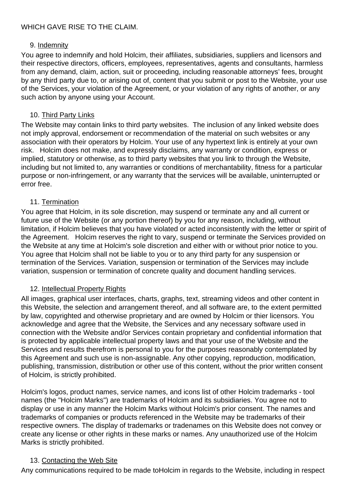# 9. Indemnity

You agree to indemnify and hold Holcim, their affiliates, subsidiaries, suppliers and licensors and their respective directors, officers, employees, representatives, agents and consultants, harmless from any demand, claim, action, suit or proceeding, including reasonable attorneys' fees, brought by any third party due to, or arising out of, content that you submit or post to the Website, your use of the Services, your violation of the Agreement, or your violation of any rights of another, or any such action by anyone using your Account.

# 10. Third Party Links

The Website may contain links to third party websites. The inclusion of any linked website does not imply approval, endorsement or recommendation of the material on such websites or any association with their operators by Holcim. Your use of any hypertext link is entirely at your own risk. Holcim does not make, and expressly disclaims, any warranty or condition, express or implied, statutory or otherwise, as to third party websites that you link to through the Website, including but not limited to, any warranties or conditions of merchantability, fitness for a particular purpose or non-infringement, or any warranty that the services will be available, uninterrupted or error free.

### 11. Termination

You agree that Holcim, in its sole discretion, may suspend or terminate any and all current or future use of the Website (or any portion thereof) by you for any reason, including, without limitation, if Holcim believes that you have violated or acted inconsistently with the letter or spirit of the Agreement. Holcim reserves the right to vary, suspend or terminate the Services provided on the Website at any time at Holcim's sole discretion and either with or without prior notice to you. You agree that Holcim shall not be liable to you or to any third party for any suspension or termination of the Services. Variation, suspension or termination of the Services may include variation, suspension or termination of concrete quality and document handling services.

### 12. Intellectual Property Rights

All images, graphical user interfaces, charts, graphs, text, streaming videos and other content in this Website, the selection and arrangement thereof, and all software are, to the extent permitted by law, copyrighted and otherwise proprietary and are owned by Holcim or thier licensors. You acknowledge and agree that the Website, the Services and any necessary software used in connection with the Website and/or Services contain proprietary and confidential information that is protected by applicable intellectual property laws and that your use of the Website and the Services and results therefrom is personal to you for the purposes reasonably contemplated by this Agreement and such use is non-assignable. Any other copying, reproduction, modification, publishing, transmission, distribution or other use of this content, without the prior written consent of Holcim, is strictly prohibited.

Holcim's logos, product names, service names, and icons list of other Holcim trademarks - tool names (the "Holcim Marks") are trademarks of Holcim and its subsidiaries. You agree not to display or use in any manner the Holcim Marks without Holcim's prior consent. The names and trademarks of companies or products referenced in the Website may be trademarks of their respective owners. The display of trademarks or tradenames on this Website does not convey or create any license or other rights in these marks or names. Any unauthorized use of the Holcim Marks is strictly prohibited.

### 13. Contacting the Web Site

Any communications required to be made toHolcim in regards to the Website, including in respect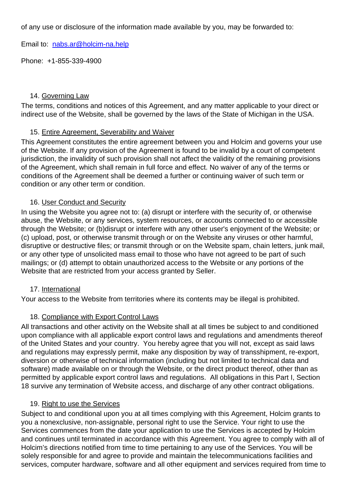of any use or disclosure of the information made available by you, may be forwarded to:

Email to: [nabs.ar@holcim-na.help](mailto:nabs.ar@holcim-na.help)

Phone: +1-855-339-4900

#### 14. Governing Law

The terms, conditions and notices of this Agreement, and any matter applicable to your direct or indirect use of the Website, shall be governed by the laws of the State of Michigan in the USA.

#### 15. Entire Agreement, Severability and Waiver

This Agreement constitutes the entire agreement between you and Holcim and governs your use of the Website. If any provision of the Agreement is found to be invalid by a court of competent jurisdiction, the invalidity of such provision shall not affect the validity of the remaining provisions of the Agreement, which shall remain in full force and effect. No waiver of any of the terms or conditions of the Agreement shall be deemed a further or continuing waiver of such term or condition or any other term or condition.

#### 16. User Conduct and Security

In using the Website you agree not to: (a) disrupt or interfere with the security of, or otherwise abuse, the Website, or any services, system resources, or accounts connected to or accessible through the Website; or (b)disrupt or interfere with any other user's enjoyment of the Website; or (c) upload, post, or otherwise transmit through or on the Website any viruses or other harmful, disruptive or destructive files; or transmit through or on the Website spam, chain letters, junk mail, or any other type of unsolicited mass email to those who have not agreed to be part of such mailings; or (d) attempt to obtain unauthorized access to the Website or any portions of the Website that are restricted from your access granted by Seller.

#### 17. International

Your access to the Website from territories where its contents may be illegal is prohibited.

### 18. Compliance with Export Control Laws

All transactions and other activity on the Website shall at all times be subject to and conditioned upon compliance with all applicable export control laws and regulations and amendments thereof of the United States and your country. You hereby agree that you will not, except as said laws and regulations may expressly permit, make any disposition by way of transshipment, re-export, diversion or otherwise of technical information (including but not limited to technical data and software) made available on or through the Website, or the direct product thereof, other than as permitted by applicable export control laws and regulations. All obligations in this Part I, Section 18 survive any termination of Website access, and discharge of any other contract obligations.

#### 19. Right to use the Services

Subject to and conditional upon you at all times complying with this Agreement, Holcim grants to you a nonexclusive, non-assignable, personal right to use the Service. Your right to use the Services commences from the date your application to use the Services is accepted by Holcim and continues until terminated in accordance with this Agreement. You agree to comply with all of Holcim's directions notified from time to time pertaining to any use of the Services. You will be solely responsible for and agree to provide and maintain the telecommunications facilities and services, computer hardware, software and all other equipment and services required from time to